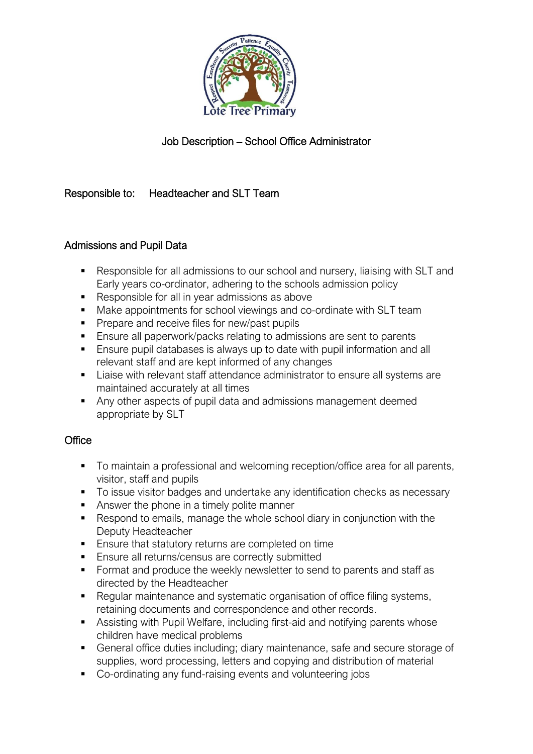

# Job Description – School Office Administrator

## Responsible to: Headteacher and SLT Team

### Admissions and Pupil Data

- Responsible for all admissions to our school and nursery, liaising with SLT and Early years co-ordinator, adhering to the schools admission policy
- Responsible for all in year admissions as above
- Make appointments for school viewings and co-ordinate with SLT team
- **•** Prepare and receive files for new/past pupils
- Ensure all paperwork/packs relating to admissions are sent to parents
- Ensure pupil databases is always up to date with pupil information and all relevant staff and are kept informed of any changes
- Liaise with relevant staff attendance administrator to ensure all systems are maintained accurately at all times
- Any other aspects of pupil data and admissions management deemed appropriate by SLT

#### **Office**

- To maintain a professional and welcoming reception/office area for all parents, visitor, staff and pupils
- To issue visitor badges and undertake any identification checks as necessary
- Answer the phone in a timely polite manner
- Respond to emails, manage the whole school diary in conjunction with the Deputy Headteacher
- Ensure that statutory returns are completed on time
- Ensure all returns/census are correctly submitted
- Format and produce the weekly newsletter to send to parents and staff as directed by the Headteacher
- Regular maintenance and systematic organisation of office filing systems, retaining documents and correspondence and other records.
- Assisting with Pupil Welfare, including first-aid and notifying parents whose children have medical problems
- General office duties including; diary maintenance, safe and secure storage of supplies, word processing, letters and copying and distribution of material
- Co-ordinating any fund-raising events and volunteering jobs